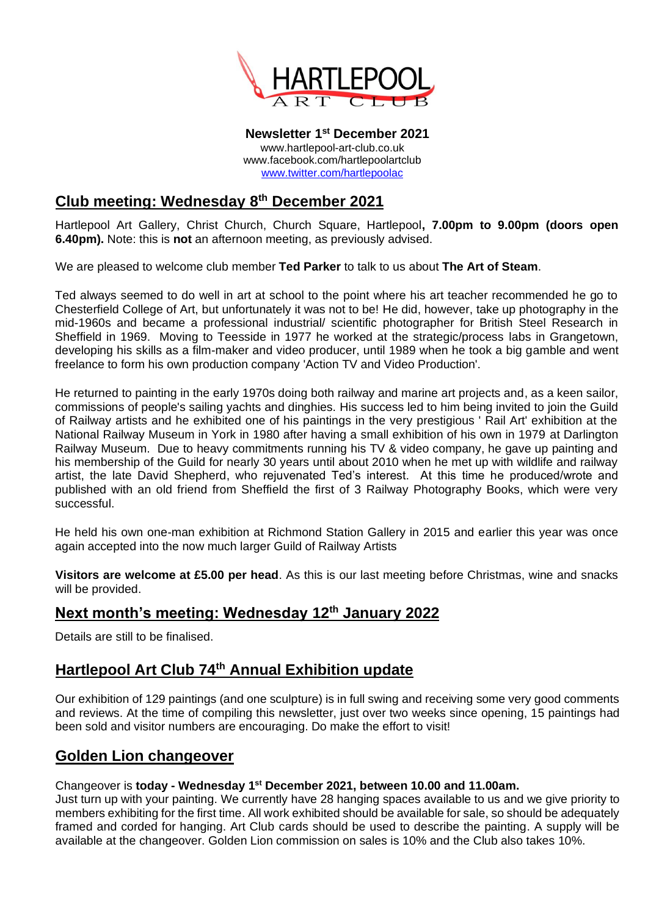

**Newsletter 1 st December 2021** www.hartlepool-art-club.co.uk www.facebook.com/hartlepoolartclub [www.twitter.com/hartlepoolac](http://www.twitter.com/hartlepoolac)

## **Club meeting: Wednesday 8 th December 2021**

Hartlepool Art Gallery, Christ Church, Church Square, Hartlepool**, 7.00pm to 9.00pm (doors open 6.40pm).** Note: this is **not** an afternoon meeting, as previously advised.

We are pleased to welcome club member **Ted Parker** to talk to us about **The Art of Steam**.

Ted always seemed to do well in art at school to the point where his art teacher recommended he go to Chesterfield College of Art, but unfortunately it was not to be! He did, however, take up photography in the mid-1960s and became a professional industrial/ scientific photographer for British Steel Research in Sheffield in 1969. Moving to Teesside in 1977 he worked at the strategic/process labs in Grangetown, developing his skills as a film-maker and video producer, until 1989 when he took a big gamble and went freelance to form his own production company 'Action TV and Video Production'.

He returned to painting in the early 1970s doing both railway and marine art projects and, as a keen sailor, commissions of people's sailing yachts and dinghies. His success led to him being invited to join the Guild of Railway artists and he exhibited one of his paintings in the very prestigious ' Rail Art' exhibition at the National Railway Museum in York in 1980 after having a small exhibition of his own in 1979 at Darlington Railway Museum. Due to heavy commitments running his TV & video company, he gave up painting and his membership of the Guild for nearly 30 years until about 2010 when he met up with wildlife and railway artist, the late David Shepherd, who rejuvenated Ted's interest. At this time he produced/wrote and published with an old friend from Sheffield the first of 3 Railway Photography Books, which were very successful.

He held his own one-man exhibition at Richmond Station Gallery in 2015 and earlier this year was once again accepted into the now much larger Guild of Railway Artists

**Visitors are welcome at £5.00 per head**. As this is our last meeting before Christmas, wine and snacks will be provided.

# **Next month's meeting: Wednesday 12th January 2022**

Details are still to be finalised.

## **Hartlepool Art Club 74th Annual Exhibition update**

Our exhibition of 129 paintings (and one sculpture) is in full swing and receiving some very good comments and reviews. At the time of compiling this newsletter, just over two weeks since opening, 15 paintings had been sold and visitor numbers are encouraging. Do make the effort to visit!

#### **Golden Lion changeover**

#### Changeover is **today - Wednesday 1 st December 2021, between 10.00 and 11.00am.**

Just turn up with your painting. We currently have 28 hanging spaces available to us and we give priority to members exhibiting for the first time. All work exhibited should be available for sale, so should be adequately framed and corded for hanging. Art Club cards should be used to describe the painting. A supply will be available at the changeover. Golden Lion commission on sales is 10% and the Club also takes 10%.